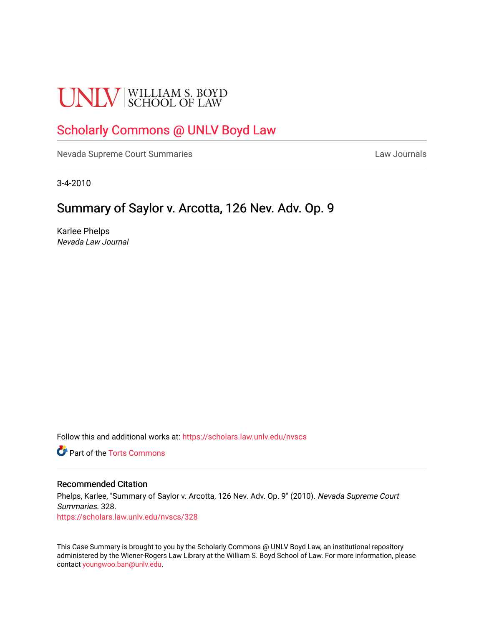# **UNLV** SCHOOL OF LAW

# [Scholarly Commons @ UNLV Boyd Law](https://scholars.law.unlv.edu/)

[Nevada Supreme Court Summaries](https://scholars.law.unlv.edu/nvscs) **Law Journals** Law Journals

3-4-2010

# Summary of Saylor v. Arcotta, 126 Nev. Adv. Op. 9

Karlee Phelps Nevada Law Journal

Follow this and additional works at: [https://scholars.law.unlv.edu/nvscs](https://scholars.law.unlv.edu/nvscs?utm_source=scholars.law.unlv.edu%2Fnvscs%2F328&utm_medium=PDF&utm_campaign=PDFCoverPages)

**C** Part of the [Torts Commons](http://network.bepress.com/hgg/discipline/913?utm_source=scholars.law.unlv.edu%2Fnvscs%2F328&utm_medium=PDF&utm_campaign=PDFCoverPages)

## Recommended Citation

Phelps, Karlee, "Summary of Saylor v. Arcotta, 126 Nev. Adv. Op. 9" (2010). Nevada Supreme Court Summaries. 328. [https://scholars.law.unlv.edu/nvscs/328](https://scholars.law.unlv.edu/nvscs/328?utm_source=scholars.law.unlv.edu%2Fnvscs%2F328&utm_medium=PDF&utm_campaign=PDFCoverPages)

This Case Summary is brought to you by the Scholarly Commons @ UNLV Boyd Law, an institutional repository administered by the Wiener-Rogers Law Library at the William S. Boyd School of Law. For more information, please contact [youngwoo.ban@unlv.edu](mailto:youngwoo.ban@unlv.edu).